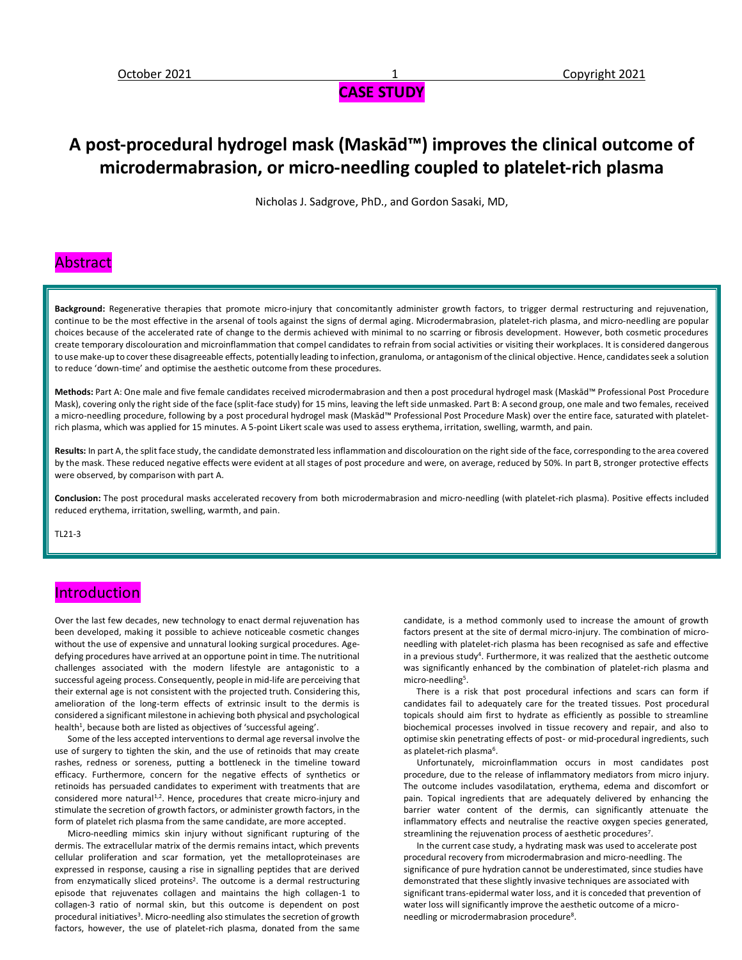# **CASE STUDY**

# **A post-procedural hydrogel mask (Maskād™) improves the clinical outcome of microdermabrasion, or micro-needling coupled to platelet-rich plasma**

Nicholas J. Sadgrove, PhD., and Gordon Sasaki, MD,

## Abstract

**Background:** Regenerative therapies that promote micro-injury that concomitantly administer growth factors, to trigger dermal restructuring and rejuvenation, continue to be the most effective in the arsenal of tools against the signs of dermal aging. Microdermabrasion, platelet-rich plasma, and micro-needling are popular choices because of the accelerated rate of change to the dermis achieved with minimal to no scarring or fibrosis development. However, both cosmetic procedures create temporary discolouration and microinflammation that compel candidates to refrain from social activities or visiting their workplaces. It is considered dangerous to use make-up to cover these disagreeable effects, potentially leading to infection, granuloma, or antagonism of the clinical objective. Hence, candidates seek a solution to reduce 'down-time' and optimise the aesthetic outcome from these procedures.

**Methods:** Part A: One male and five female candidates received microdermabrasion and then a post procedural hydrogel mask (Maskād™ Professional Post Procedure Mask), covering only the right side of the face (split-face study) for 15 mins, leaving the left side unmasked. Part B: A second group, one male and two females, received a micro-needling procedure, following by a post procedural hydrogel mask (Maskād™ Professional Post Procedure Mask) over the entire face, saturated with plateletrich plasma, which was applied for 15 minutes. A 5-point Likert scale was used to assess erythema, irritation, swelling, warmth, and pain.

Results: In part A, the split face study, the candidate demonstrated less inflammation and discolouration on the right side of the face, corresponding to the area covered by the mask. These reduced negative effects were evident at all stages of post procedure and were, on average, reduced by 50%. In part B, stronger protective effects were observed, by comparison with part A.

**Conclusion:** The post procedural masks accelerated recovery from both microdermabrasion and micro-needling (with platelet-rich plasma). Positive effects included reduced erythema, irritation, swelling, warmth, and pain.

TL21-3

## Introduction

Over the last few decades, new technology to enact dermal rejuvenation has been developed, making it possible to achieve noticeable cosmetic changes without the use of expensive and unnatural looking surgical procedures. Agedefying procedures have arrived at an opportune point in time. The nutritional challenges associated with the modern lifestyle are antagonistic to a successful ageing process. Consequently, people in mid-life are perceiving that their external age is not consistent with the projected truth. Considering this, amelioration of the long-term effects of extrinsic insult to the dermis is considered a significant milestone in achieving both physical and psychological health<sup>1</sup>, because both are listed as objectives of 'successful ageing'.

 Some of the less accepted interventions to dermal age reversal involve the use of surgery to tighten the skin, and the use of retinoids that may create rashes, redness or soreness, putting a bottleneck in the timeline toward efficacy. Furthermore, concern for the negative effects of synthetics or retinoids has persuaded candidates to experiment with treatments that are considered more natural<sup>1,2</sup>. Hence, procedures that create micro-injury and stimulate the secretion of growth factors, or administer growth factors, in the form of platelet rich plasma from the same candidate, are more accepted.

 Micro-needling mimics skin injury without significant rupturing of the dermis. The extracellular matrix of the dermis remains intact, which prevents cellular proliferation and scar formation, yet the metalloproteinases are expressed in response, causing a rise in signalling peptides that are derived from enzymatically sliced proteins<sup>2</sup>. The outcome is a dermal restructuring episode that rejuvenates collagen and maintains the high collagen-1 to collagen-3 ratio of normal skin, but this outcome is dependent on post procedural initiatives<sup>3</sup>. Micro-needling also stimulates the secretion of growth factors, however, the use of platelet-rich plasma, donated from the same

candidate, is a method commonly used to increase the amount of growth factors present at the site of dermal micro-injury. The combination of microneedling with platelet-rich plasma has been recognised as safe and effective in a previous study<sup>4</sup>. Furthermore, it was realized that the aesthetic outcome was significantly enhanced by the combination of platelet-rich plasma and micro-needling<sup>5</sup>.

 There is a risk that post procedural infections and scars can form if candidates fail to adequately care for the treated tissues. Post procedural topicals should aim first to hydrate as efficiently as possible to streamline biochemical processes involved in tissue recovery and repair, and also to optimise skin penetrating effects of post- or mid-procedural ingredients, such as platelet-rich plasma<sup>6</sup>.

 Unfortunately, microinflammation occurs in most candidates post procedure, due to the release of inflammatory mediators from micro injury. The outcome includes vasodilatation, erythema, edema and discomfort or pain. Topical ingredients that are adequately delivered by enhancing the barrier water content of the dermis, can significantly attenuate the inflammatory effects and neutralise the reactive oxygen species generated, streamlining the rejuvenation process of aesthetic procedures<sup>7</sup>.

 In the current case study, a hydrating mask was used to accelerate post procedural recovery from microdermabrasion and micro-needling. The significance of pure hydration cannot be underestimated, since studies have demonstrated that these slightly invasive techniques are associated with significant trans-epidermal water loss, and it is conceded that prevention of water loss will significantly improve the aesthetic outcome of a microneedling or microdermabrasion procedure<sup>8</sup>.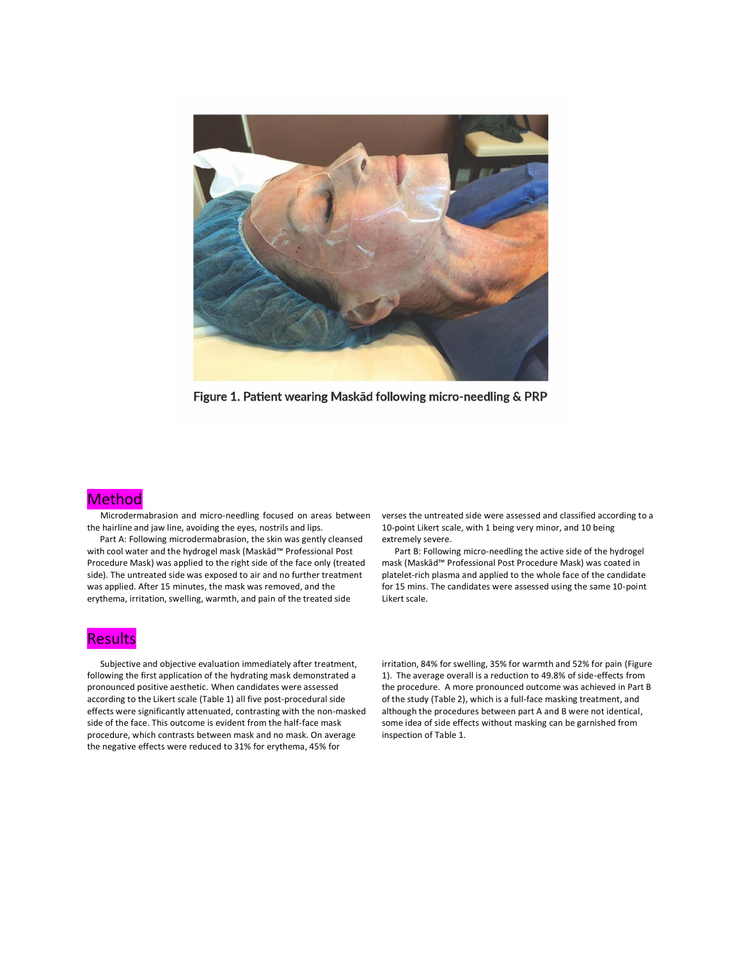

Figure 1. Patient wearing Maskad following micro-needling & PRP

### **Method**

 Microdermabrasion and micro-needling focused on areas between the hairline and jaw line, avoiding the eyes, nostrils and lips.

 Part A: Following microdermabrasion, the skin was gently cleansed with cool water and the hydrogel mask (Maskād™ Professional Post Procedure Mask) was applied to the right side of the face only (treated side). The untreated side was exposed to air and no further treatment was applied. After 15 minutes, the mask was removed, and the erythema, irritation, swelling, warmth, and pain of the treated side

#### **Results**

 Subjective and objective evaluation immediately after treatment, following the first application of the hydrating mask demonstrated a pronounced positive aesthetic. When candidates were assessed according to the Likert scale (Table 1) all five post-procedural side effects were significantly attenuated, contrasting with the non-masked side of the face. This outcome is evident from the half-face mask procedure, which contrasts between mask and no mask. On average the negative effects were reduced to 31% for erythema, 45% for

verses the untreated side were assessed and classified according to a 10-point Likert scale, with 1 being very minor, and 10 being extremely severe.

 Part B: Following micro-needling the active side of the hydrogel mask (Maskād™ Professional Post Procedure Mask) was coated in platelet-rich plasma and applied to the whole face of the candidate for 15 mins. The candidates were assessed using the same 10-point Likert scale.

irritation, 84% for swelling, 35% for warmth and 52% for pain (Figure 1). The average overall is a reduction to 49.8% of side-effects from the procedure. A more pronounced outcome was achieved in Part B of the study (Table 2), which is a full-face masking treatment, and although the procedures between part A and B were not identical, some idea of side effects without masking can be garnished from inspection of Table 1.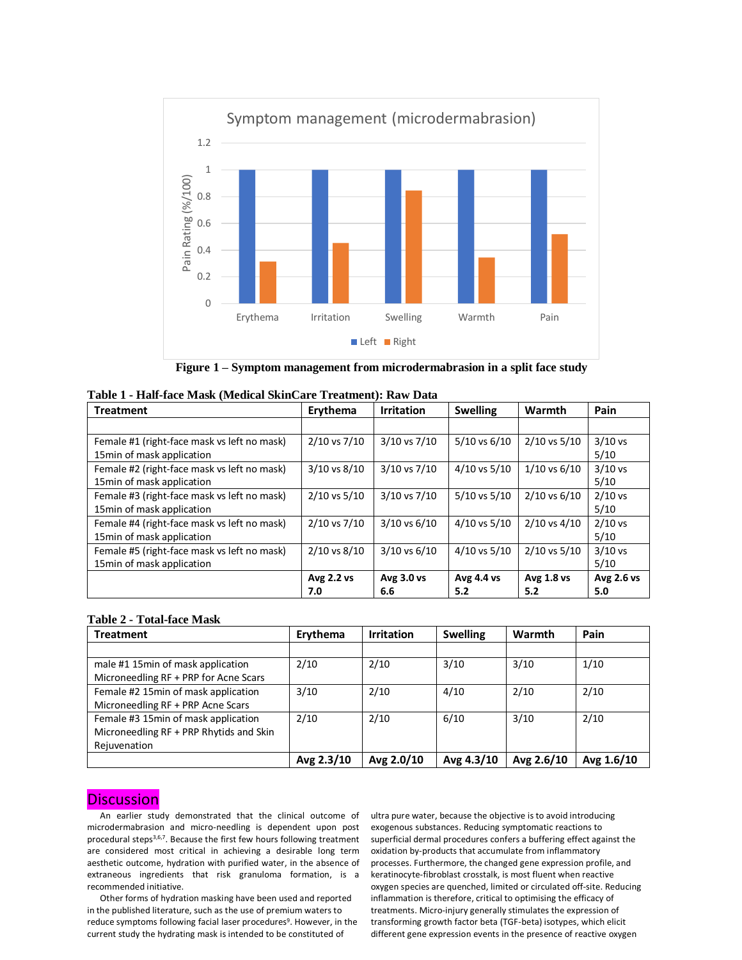

**Figure 1 – Symptom management from microdermabrasion in a split face study**

| <b>Treatment</b>                            | Erythema         | <b>Irritation</b> | <b>Swelling</b>  | Warmth           | Pain              |
|---------------------------------------------|------------------|-------------------|------------------|------------------|-------------------|
|                                             |                  |                   |                  |                  |                   |
| Female #1 (right-face mask vs left no mask) | 2/10 vs 7/10     | 3/10 vs 7/10      | $5/10$ vs $6/10$ | $2/10$ vs $5/10$ | $3/10$ vs         |
| 15 min of mask application                  |                  |                   |                  |                  | 5/10              |
| Female #2 (right-face mask vs left no mask) | 3/10 vs 8/10     | 3/10 vs 7/10      | $4/10$ vs $5/10$ | $1/10$ vs $6/10$ | $3/10$ vs         |
| 15min of mask application                   |                  |                   |                  |                  | 5/10              |
| Female #3 (right-face mask vs left no mask) | $2/10$ vs $5/10$ | 3/10 vs 7/10      | 5/10 vs 5/10     | $2/10$ vs 6/10   | $2/10$ vs         |
| 15min of mask application                   |                  |                   |                  |                  | 5/10              |
| Female #4 (right-face mask vs left no mask) | 2/10 vs 7/10     | 3/10 vs 6/10      | $4/10$ vs $5/10$ | $2/10$ vs $4/10$ | $2/10$ vs         |
| 15min of mask application                   |                  |                   |                  |                  | 5/10              |
| Female #5 (right-face mask vs left no mask) | 2/10 vs 8/10     | $3/10$ vs $6/10$  | $4/10$ vs $5/10$ | $2/10$ vs $5/10$ | $3/10$ vs         |
| 15min of mask application                   |                  |                   |                  |                  | 5/10              |
|                                             | Avg 2.2 vs       | Avg 3.0 vs        | Avg 4.4 vs       | Avg 1.8 vs       | <b>Avg 2.6 vs</b> |
|                                             | 7.0              | 6.6               | 5.2              | 5.2              | 5.0               |

#### **Table 1 - Half-face Mask (Medical SkinCare Treatment): Raw Data**

#### **Table 2 - Total-face Mask**

| <b>Treatment</b>                                                                               | Erythema   | <b>Irritation</b> | <b>Swelling</b> | Warmth     | Pain       |
|------------------------------------------------------------------------------------------------|------------|-------------------|-----------------|------------|------------|
|                                                                                                |            |                   |                 |            |            |
| male #1 15 min of mask application<br>Microneedling RF + PRP for Acne Scars                    | 2/10       | 2/10              | 3/10            | 3/10       | 1/10       |
| Female #2 15min of mask application<br>Microneedling RF + PRP Acne Scars                       | 3/10       | 2/10              | 4/10            | 2/10       | 2/10       |
| Female #3 15min of mask application<br>Microneedling RF + PRP Rhytids and Skin<br>Rejuvenation | 2/10       | 2/10              | 6/10            | 3/10       | 2/10       |
|                                                                                                | Avg 2.3/10 | Avg 2.0/10        | Avg 4.3/10      | Avg 2.6/10 | Avg 1.6/10 |

### **Discussion**

 An earlier study demonstrated that the clinical outcome of microdermabrasion and micro-needling is dependent upon post procedural steps<sup>3,6,7</sup>. Because the first few hours following treatment are considered most critical in achieving a desirable long term aesthetic outcome, hydration with purified water, in the absence of extraneous ingredients that risk granuloma formation, is a recommended initiative.

 Other forms of hydration masking have been used and reported in the published literature, such as the use of premium waters to reduce symptoms following facial laser procedures<sup>9</sup>. However, in the current study the hydrating mask is intended to be constituted of

ultra pure water, because the objective is to avoid introducing exogenous substances. Reducing symptomatic reactions to superficial dermal procedures confers a buffering effect against the oxidation by-products that accumulate from inflammatory processes. Furthermore, the changed gene expression profile, and keratinocyte-fibroblast crosstalk, is most fluent when reactive oxygen species are quenched, limited or circulated off-site. Reducing inflammation is therefore, critical to optimising the efficacy of treatments. Micro-injury generally stimulates the expression of transforming growth factor beta (TGF-beta) isotypes, which elicit different gene expression events in the presence of reactive oxygen